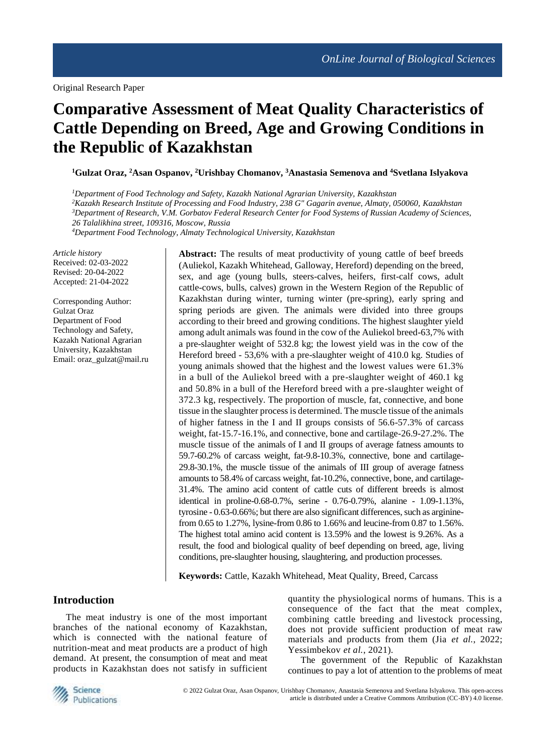# **Comparative Assessment of Meat Quality Characteristics of Cattle Depending on Breed, Age and Growing Conditions in the Republic of Kazakhstan**

**<sup>1</sup>Gulzat Oraz, <sup>2</sup>Asan Ospanov, <sup>2</sup>Urishbay Chomanov, <sup>3</sup>Anastasia Semenova and <sup>4</sup>Svetlana Islyakova**

*<sup>1</sup>Department of Food Technology and Safety, Kazakh National Agrarian University, Kazakhstan <sup>2</sup>Kazakh Research Institute of Processing and Food Industry, 238 G" Gagarin avenue, Almaty, 050060, Kazakhstan <sup>3</sup>Department of Research, V.M. Gorbatov Federal Research Center for Food Systems of Russian Academy of Sciences,*

*26 Talalikhina street, 109316, Moscow, Russia*

*<sup>4</sup>Department Food Technology, Almaty Technological University, Kazakhstan*

*Article history* Received: 02-03-2022 Revised: 20-04-2022 Accepted: 21-04-2022

Corresponding Author: Gulzat Oraz Department of Food Technology and Safety, Kazakh National Agrarian University, Kazakhstan Email: oraz\_gulzat@mail.ru Abstract: The results of meat productivity of young cattle of beef breeds (Auliekol, Kazakh Whitehead, Galloway, Hereford) depending on the breed, sex, and age (young bulls, steers-calves, heifers, first-calf cows, adult cattle-cows, bulls, calves) grown in the Western Region of the Republic of Kazakhstan during winter, turning winter (pre-spring), early spring and spring periods are given. The animals were divided into three groups according to their breed and growing conditions. The highest slaughter yield among adult animals was found in the cow of the Auliekol breed-63,7% with a pre-slaughter weight of 532.8 kg; the lowest yield was in the cow of the Hereford breed - 53,6% with a pre-slaughter weight of 410.0 kg. Studies of young animals showed that the highest and the lowest values were 61.3% in a bull of the Auliekol breed with a pre-slaughter weight of 460.1 kg and 50.8% in a bull of the Hereford breed with a pre-slaughter weight of 372.3 kg, respectively. The proportion of muscle, fat, connective, and bone tissue in the slaughter process is determined. The muscle tissue of the animals of higher fatness in the I and II groups consists of 56.6-57.3% of carcass weight, fat-15.7-16.1%, and connective, bone and cartilage-26.9-27.2%. The muscle tissue of the animals of I and II groups of average fatness amounts to 59.7-60.2% of carcass weight, fat-9.8-10.3%, connective, bone and cartilage-29.8-30.1%, the muscle tissue of the animals of III group of average fatness amounts to 58.4% of carcass weight, fat-10.2%, connective, bone, and cartilage-31.4%. The amino acid content of cattle cuts of different breeds is almost identical in proline-0.68-0.7%, serine - 0.76-0.79%, alanine - 1.09-1.13%, tyrosine - 0.63-0.66%; but there are also significant differences, such as argininefrom 0.65 to 1.27%, lysine-from 0.86 to 1.66% and leucine-from 0.87 to 1.56%. The highest total amino acid content is 13.59% and the lowest is 9.26%. As a result, the food and biological quality of beef depending on breed, age, living conditions, pre-slaughter housing, slaughtering, and production processes.

**Keywords:** Cattle, Kazakh Whitehead, Meat Quality, Breed, Carcass

# **Introduction**

The meat industry is one of the most important branches of the national economy of Kazakhstan, which is connected with the national feature of nutrition-meat and meat products are a product of high demand. At present, the consumption of meat and meat products in Kazakhstan does not satisfy in sufficient quantity the physiological norms of humans. This is a consequence of the fact that the meat complex, combining cattle breeding and livestock processing, does not provide sufficient production of meat raw materials and products from them (Jia *et al.*, 2022; Yessimbekov *et al.*, 2021).

The government of the Republic of Kazakhstan continues to pay a lot of attention to the problems of meat



© 2022 Gulzat Oraz, Asan Ospanov, Urishbay Chomanov, Anastasia Semenova and Svetlana Islyakova. This open-access article is distributed under a Creative Commons Attribution (CC-BY) 4.0 license.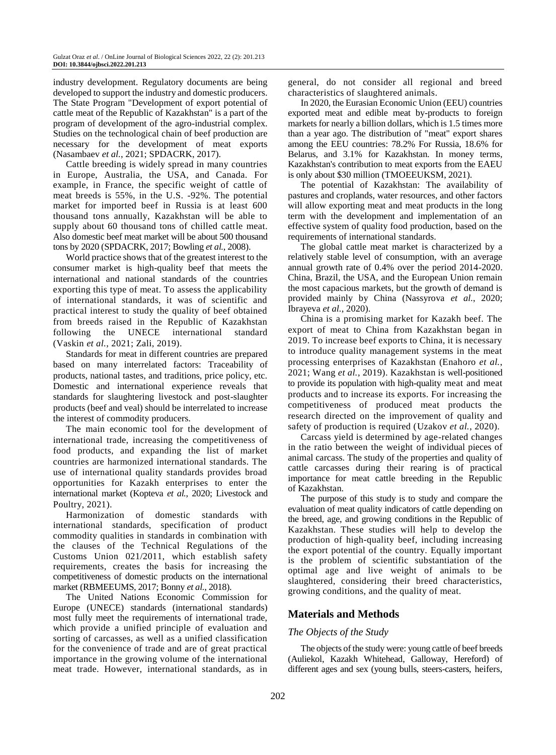industry development. Regulatory documents are being developed to support the industry and domestic producers. The State Program "Development of export potential of cattle meat of the Republic of Kazakhstan" is a part of the program of development of the agro-industrial complex. Studies on the technological chain of beef production are necessary for the development of meat exports (Nasambaev *et al.*, 2021; SPDACRK, 2017).

Cattle breeding is widely spread in many countries in Europe, Australia, the USA, and Canada. For example, in France, the specific weight of cattle of meat breeds is 55%, in the U.S. -92%. The potential market for imported beef in Russia is at least 600 thousand tons annually, Kazakhstan will be able to supply about 60 thousand tons of chilled cattle meat. Also domestic beef meat market will be about 500 thousand tons by 2020 (SPDACRK, 2017; Bowling *et al.*, 2008).

World practice shows that of the greatest interest to the consumer market is high-quality beef that meets the international and national standards of the countries exporting this type of meat. To assess the applicability of international standards, it was of scientific and practical interest to study the quality of beef obtained from breeds raised in the Republic of Kazakhstan following the UNECE international standard (Vaskin *et al.*, 2021; Zali, 2019).

Standards for meat in different countries are prepared based on many interrelated factors: Traceability of products, national tastes, and traditions, price policy, etc. Domestic and international experience reveals that standards for slaughtering livestock and post-slaughter products (beef and veal) should be interrelated to increase the interest of commodity producers.

The main economic tool for the development of international trade, increasing the competitiveness of food products, and expanding the list of market countries are harmonized international standards. The use of international quality standards provides broad opportunities for Kazakh enterprises to enter the international market (Kopteva *et al.*, 2020; Livestock and Poultry, 2021).

Harmonization of domestic standards with international standards, specification of product commodity qualities in standards in combination with the clauses of the Technical Regulations of the Customs Union 021/2011, which establish safety requirements, creates the basis for increasing the competitiveness of domestic products on the international market (RBMEEUMS, 2017; Bonny *et al.*, 2018).

The United Nations Economic Commission for Europe (UNECE) standards (international standards) most fully meet the requirements of international trade, which provide a unified principle of evaluation and sorting of carcasses, as well as a unified classification for the convenience of trade and are of great practical importance in the growing volume of the international meat trade. However, international standards, as in

general, do not consider all regional and breed characteristics of slaughtered animals.

In 2020, the Eurasian Economic Union (EEU) countries exported meat and edible meat by-products to foreign markets for nearly a billion dollars, which is 1.5 times more than a year ago. The distribution of "meat" export shares among the EEU countries: 78.2% For Russia, 18.6% for Belarus, and 3.1% for Kazakhstan. In money terms, Kazakhstan's contribution to meat exports from the EAEU is only about \$30 million (TMOEEUKSM, 2021).

The potential of Kazakhstan: The availability of pastures and croplands, water resources, and other factors will allow exporting meat and meat products in the long term with the development and implementation of an effective system of quality food production, based on the requirements of international standards.

The global cattle meat market is characterized by a relatively stable level of consumption, with an average annual growth rate of 0.4% over the period 2014-2020. China, Brazil, the USA, and the European Union remain the most capacious markets, but the growth of demand is provided mainly by China (Nassyrova *et al.*, 2020; Ibrayeva *et al.*, 2020).

China is a promising market for Kazakh beef. The export of meat to China from Kazakhstan began in 2019. To increase beef exports to China, it is necessary to introduce quality management systems in the meat processing enterprises of Kazakhstan (Enahoro *et al.*, 2021; Wang *et al.*, 2019). Kazakhstan is well-positioned to provide its population with high-quality meat and meat products and to increase its exports. For increasing the competitiveness of produced meat products the research directed on the improvement of quality and safety of production is required (Uzakov *et al.*, 2020).

Carcass yield is determined by age-related changes in the ratio between the weight of individual pieces of animal carcass. The study of the properties and quality of cattle carcasses during their rearing is of practical importance for meat cattle breeding in the Republic of Kazakhstan.

The purpose of this study is to study and compare the evaluation of meat quality indicators of cattle depending on the breed, age, and growing conditions in the Republic of Kazakhstan. These studies will help to develop the production of high-quality beef, including increasing the export potential of the country. Equally important is the problem of scientific substantiation of the optimal age and live weight of animals to be slaughtered, considering their breed characteristics, growing conditions, and the quality of meat.

# **Materials and Methods**

# *The Objects of the Study*

The objects of the study were: young cattle of beef breeds (Auliekol, Kazakh Whitehead, Galloway, Hereford) of different ages and sex (young bulls, steers-casters, heifers,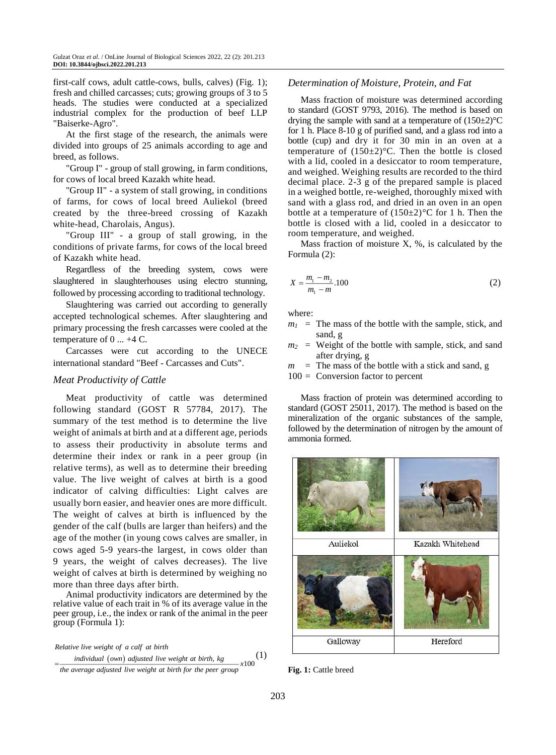first-calf cows, adult cattle-cows, bulls, calves) (Fig. 1); fresh and chilled carcasses; cuts; growing groups of 3 to 5 heads. The studies were conducted at a specialized industrial complex for the production of beef LLP "Baiserke-Agro".

At the first stage of the research, the animals were divided into groups of 25 animals according to age and breed, as follows.

"Group I" - group of stall growing, in farm conditions, for cows of local breed Kazakh white head.

"Group II" - a system of stall growing, in conditions of farms, for cows of local breed Auliekol (breed created by the three-breed crossing of Kazakh white-head, Charolais, Angus).

"Group III" - a group of stall growing, in the conditions of private farms, for cows of the local breed of Kazakh white head.

Regardless of the breeding system, cows were slaughtered in slaughterhouses using electro stunning, followed by processing according to traditional technology.

Slaughtering was carried out according to generally accepted technological schemes. After slaughtering and primary processing the fresh carcasses were cooled at the temperature of 0 ... +4 C.

Carcasses were cut according to the UNECE international standard "Beef - Carcasses and Cuts".

## *Meat Productivity of Cattle*

Meat productivity of cattle was determined following standard (GOST R 57784, 2017). The summary of the test method is to determine the live weight of animals at birth and at a different age, periods to assess their productivity in absolute terms and determine their index or rank in a peer group (in relative terms), as well as to determine their breeding value. The live weight of calves at birth is a good indicator of calving difficulties: Light calves are usually born easier, and heavier ones are more difficult. The weight of calves at birth is influenced by the gender of the calf (bulls are larger than heifers) and the age of the mother (in young cows calves are smaller, in cows aged 5-9 years-the largest, in cows older than 9 years, the weight of calves decreases). The live weight of calves at birth is determined by weighing no more than three days after birth.

Animal productivity indicators are determined by the relative value of each trait in % of its average value in the peer group, i.e., the index or rank of the animal in the peer group (Formula 1):

individual (own) adjusted live weight at birth, kg 100 *x Relative live weight of a calf at birth the average adjusted live weight at birth for the peer group* (1)

# *Determination of Moisture, Protein, and Fat*

Mass fraction of moisture was determined according to standard (GOST 9793, 2016). The method is based on drying the sample with sand at a temperature of  $(150\pm2)$ <sup>o</sup>C for 1 h. Place 8-10 g of purified sand, and a glass rod into a bottle (cup) and dry it for 30 min in an oven at a temperature of  $(150\pm2)$ °C. Then the bottle is closed with a lid, cooled in a desiccator to room temperature, and weighed. Weighing results are recorded to the third decimal place. 2-3 g of the prepared sample is placed in a weighed bottle, re-weighed, thoroughly mixed with sand with a glass rod, and dried in an oven in an open bottle at a temperature of  $(150\pm2)$ °C for 1 h. Then the bottle is closed with a lid, cooled in a desiccator to room temperature, and weighed.

Mass fraction of moisture  $X$ ,  $\%$ , is calculated by the Formula (2):

$$
X = \frac{m_1 - m_2}{m_1 - m} \cdot 100\tag{2}
$$

where:

- $m_l$  = The mass of the bottle with the sample, stick, and sand, g
- $m_2$  = Weight of the bottle with sample, stick, and sand after drying, g

 $m =$ The mass of the bottle with a stick and sand, g  $100 =$  Conversion factor to percent

Mass fraction of protein was determined according to standard (GOST 25011, 2017). The method is based on the mineralization of the organic substances of the sample, followed by the determination of nitrogen by the amount of ammonia formed.



**Fig. 1:** Cattle breed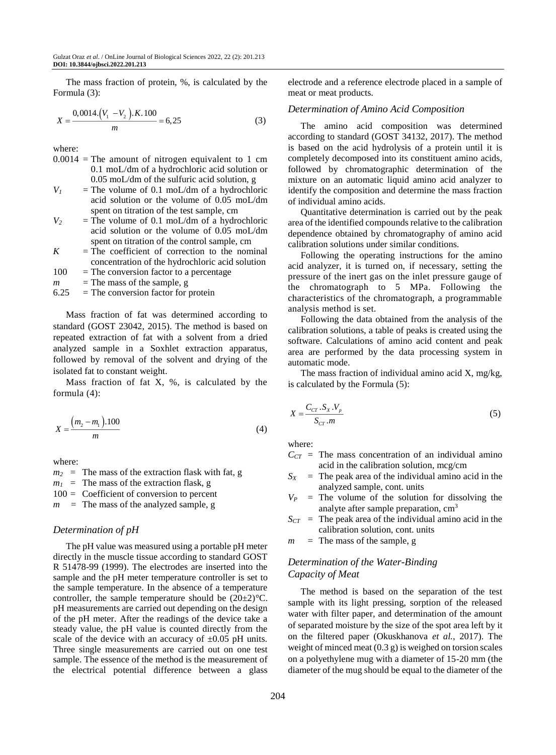The mass fraction of protein, %, is calculated by the Formula (3):

$$
X = \frac{0.0014 \cdot (V_1 - V_2) \cdot K \cdot 100}{m} = 6.25\tag{3}
$$

where:

- $0.0014$  = The amount of nitrogen equivalent to 1 cm 0.1 moL/dm of a hydrochloric acid solution or 0.05 moL/dm of the sulfuric acid solution, g
- $V_1$  = The volume of 0.1 moL/dm of a hydrochloric acid solution or the volume of 0.05 moL/dm spent on titration of the test sample, cm
- $V_2$  = The volume of 0.1 moL/dm of a hydrochloric acid solution or the volume of 0.05 moL/dm spent on titration of the control sample, cm
- $K =$ The coefficient of correction to the nominal concentration of the hydrochloric acid solution
- $100 =$ The conversion factor to a percentage
- $m =$ The mass of the sample, g
- $6.25$  = The conversion factor for protein

Mass fraction of fat was determined according to standard (GOST 23042, 2015). The method is based on repeated extraction of fat with a solvent from a dried analyzed sample in a Soxhlet extraction apparatus, followed by removal of the solvent and drying of the isolated fat to constant weight.

Mass fraction of fat  $X$ , %, is calculated by the formula (4):

$$
X = \frac{(m_2 - m_1) \cdot 100}{m}
$$
 (4)

where:

 $m_2$  = The mass of the extraction flask with fat, g  $m_1$  = The mass of the extraction flask, g 100 = Coefficient of conversion to percent

 $m =$  The mass of the analyzed sample, g

#### *Determination of pH*

The pH value was measured using a portable pH meter directly in the muscle tissue according to standard GOST R 51478-99 (1999). The electrodes are inserted into the sample and the pH meter temperature controller is set to the sample temperature. In the absence of a temperature controller, the sample temperature should be  $(20\pm2)$ °C. pH measurements are carried out depending on the design of the pH meter. After the readings of the device take a steady value, the pH value is counted directly from the scale of the device with an accuracy of  $\pm 0.05$  pH units. Three single measurements are carried out on one test sample. The essence of the method is the measurement of the electrical potential difference between a glass electrode and a reference electrode placed in a sample of meat or meat products.

#### *Determination of Amino Acid Composition*

The amino acid composition was determined according to standard (GOST 34132, 2017). The method is based on the acid hydrolysis of a protein until it is completely decomposed into its constituent amino acids, followed by chromatographic determination of the mixture on an automatic liquid amino acid analyzer to identify the composition and determine the mass fraction of individual amino acids.

Quantitative determination is carried out by the peak area of the identified compounds relative to the calibration dependence obtained by chromatography of amino acid calibration solutions under similar conditions.

Following the operating instructions for the amino acid analyzer, it is turned on, if necessary, setting the pressure of the inert gas on the inlet pressure gauge of the chromatograph to 5 MPa. Following the characteristics of the chromatograph, a programmable analysis method is set.

Following the data obtained from the analysis of the calibration solutions, a table of peaks is created using the software. Calculations of amino acid content and peak area are performed by the data processing system in automatic mode.

The mass fraction of individual amino acid  $X$ , mg/kg, is calculated by the Formula (5):

$$
X = \frac{C_{CT} \cdot S_X \cdot V_p}{S_{CT} \cdot m} \tag{5}
$$

where:

- $C_{CT}$  = The mass concentration of an individual amino acid in the calibration solution, mcg/cm
- $S_X$  = The peak area of the individual amino acid in the analyzed sample, cont. units
- $V_P$  = The volume of the solution for dissolving the analyte after sample preparation, cm<sup>3</sup>
- $S_{CT}$  = The peak area of the individual amino acid in the calibration solution, cont. units

 $m =$ The mass of the sample, g

# *Determination of the Water-Binding Capacity of Meat*

The method is based on the separation of the test sample with its light pressing, sorption of the released water with filter paper, and determination of the amount of separated moisture by the size of the spot area left by it on the filtered paper (Okuskhanova *et al.*, 2017). The weight of minced meat (0.3 g) is weighed on torsion scales on a polyethylene mug with a diameter of 15-20 mm (the diameter of the mug should be equal to the diameter of the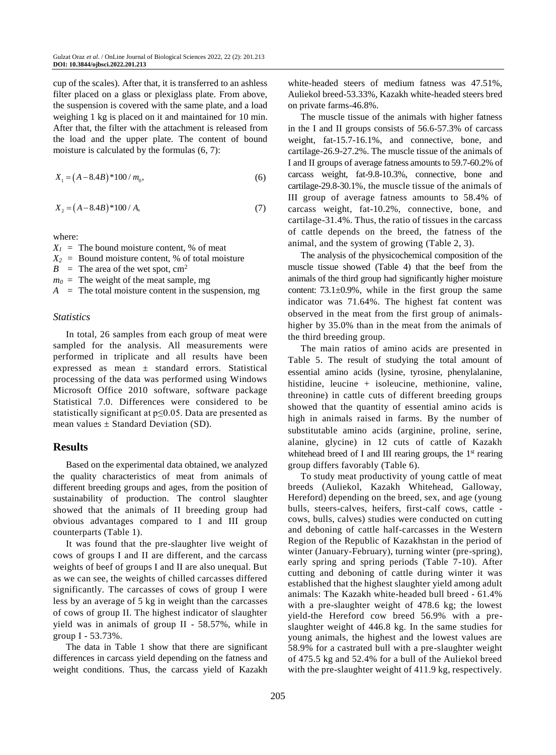cup of the scales). After that, it is transferred to an ashless filter placed on a glass or plexiglass plate. From above, the suspension is covered with the same plate, and a load weighing 1 kg is placed on it and maintained for 10 min. After that, the filter with the attachment is released from the load and the upper plate. The content of bound moisture is calculated by the formulas (6, 7):

$$
X_1 = (A - 8.4B)^* 100 / m_0,
$$
\n(6)

$$
X_2 = (A - 8.4B)^* 100 / A,\tag{7}
$$

where:

 $X_1$  = The bound moisture content, % of meat  $X_2$  = Bound moisture content, % of total moisture  $B =$ The area of the wet spot, cm<sup>2</sup>  $m_0$  = The weight of the meat sample, mg  $A =$ The total moisture content in the suspension, mg

### *Statistics*

In total, 26 samples from each group of meat were sampled for the analysis. All measurements were performed in triplicate and all results have been expressed as mean ± standard errors. Statistical processing of the data was performed using Windows Microsoft Office 2010 software, software package Statistical 7.0. Differences were considered to be statistically significant at p≤0.05. Data are presented as mean values  $\pm$  Standard Deviation (SD).

# **Results**

Based on the experimental data obtained, we analyzed the quality characteristics of meat from animals of different breeding groups and ages, from the position of sustainability of production. The control slaughter showed that the animals of II breeding group had obvious advantages compared to I and III group counterparts (Table 1).

It was found that the pre-slaughter live weight of cows of groups I and II are different, and the carcass weights of beef of groups I and II are also unequal. But as we can see, the weights of chilled carcasses differed significantly. The carcasses of cows of group I were less by an average of 5 kg in weight than the carcasses of cows of group II. The highest indicator of slaughter yield was in animals of group II - 58.57%, while in group I - 53.73%.

The data in Table 1 show that there are significant differences in carcass yield depending on the fatness and weight conditions. Thus, the carcass yield of Kazakh white-headed steers of medium fatness was 47.51%, Auliekol breed-53.33%, Kazakh white-headed steers bred on private farms-46.8%.

The muscle tissue of the animals with higher fatness in the I and II groups consists of 56.6-57.3% of carcass weight, fat-15.7-16.1%, and connective, bone, and cartilage-26.9-27.2%. The muscle tissue of the animals of I and II groups of average fatness amounts to 59.7-60.2% of carcass weight, fat-9.8-10.3%, connective, bone and cartilage-29.8-30.1%, the muscle tissue of the animals of III group of average fatness amounts to 58.4% of carcass weight, fat-10.2%, connective, bone, and cartilage-31.4%. Thus, the ratio of tissues in the carcass of cattle depends on the breed, the fatness of the animal, and the system of growing (Table 2, 3).

The analysis of the physicochemical composition of the muscle tissue showed (Table 4) that the beef from the animals of the third group had significantly higher moisture content:  $73.1 \pm 0.9\%$ , while in the first group the same indicator was 71.64%. The highest fat content was observed in the meat from the first group of animalshigher by 35.0% than in the meat from the animals of the third breeding group.

The main ratios of amino acids are presented in Table 5. The result of studying the total amount of essential amino acids (lysine, tyrosine, phenylalanine, histidine, leucine + isoleucine, methionine, valine, threonine) in cattle cuts of different breeding groups showed that the quantity of essential amino acids is high in animals raised in farms. By the number of substitutable amino acids (arginine, proline, serine, alanine, glycine) in 12 cuts of cattle of Kazakh whitehead breed of I and III rearing groups, the  $1<sup>st</sup>$  rearing group differs favorably (Table 6).

To study meat productivity of young cattle of meat breeds (Auliekol, Kazakh Whitehead, Galloway, Hereford) depending on the breed, sex, and age (young bulls, steers-calves, heifers, first-calf cows, cattle cows, bulls, calves) studies were conducted on cutting and deboning of cattle half-carcasses in the Western Region of the Republic of Kazakhstan in the period of winter (January-February), turning winter (pre-spring), early spring and spring periods (Table 7-10). After cutting and deboning of cattle during winter it was established that the highest slaughter yield among adult animals: The Kazakh white-headed bull breed - 61.4% with a pre-slaughter weight of 478.6 kg; the lowest yield-the Hereford cow breed 56.9% with a preslaughter weight of 446.8 kg. In the same studies for young animals, the highest and the lowest values are 58.9% for a castrated bull with a pre-slaughter weight of 475.5 kg and 52.4% for a bull of the Auliekol breed with the pre-slaughter weight of 411.9 kg, respectively.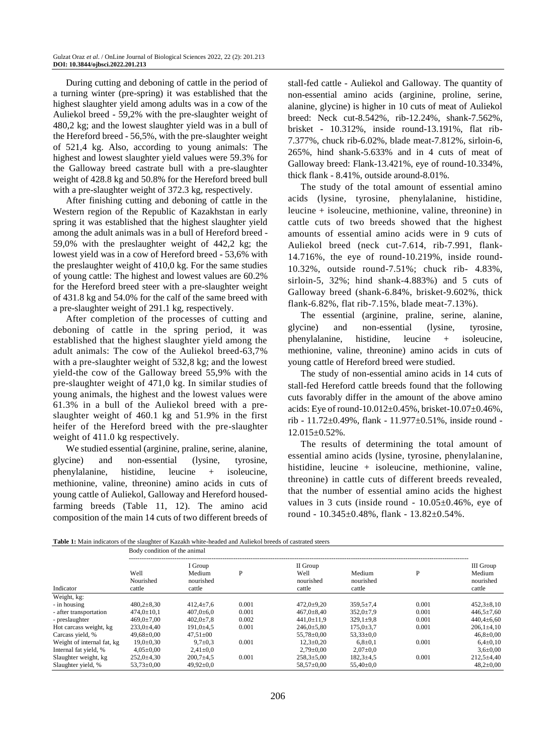During cutting and deboning of cattle in the period of a turning winter (pre-spring) it was established that the highest slaughter yield among adults was in a cow of the Auliekol breed - 59,2% with the pre-slaughter weight of 480,2 kg; and the lowest slaughter yield was in a bull of the Hereford breed - 56,5%, with the pre-slaughter weight of 521,4 kg. Also, according to young animals: The highest and lowest slaughter yield values were 59.3% for the Galloway breed castrate bull with a pre-slaughter weight of 428.8 kg and 50.8% for the Hereford breed bull with a pre-slaughter weight of 372.3 kg, respectively.

After finishing cutting and deboning of cattle in the Western region of the Republic of Kazakhstan in early spring it was established that the highest slaughter yield among the adult animals was in a bull of Hereford breed - 59,0% with the preslaughter weight of 442,2 kg; the lowest yield was in a cow of Hereford breed - 53,6% with the preslaughter weight of 410,0 kg. For the same studies of young cattle: The highest and lowest values are 60.2% for the Hereford breed steer with a pre-slaughter weight of 431.8 kg and 54.0% for the calf of the same breed with a pre-slaughter weight of 291.1 kg, respectively.

After completion of the processes of cutting and deboning of cattle in the spring period, it was established that the highest slaughter yield among the adult animals: The cow of the Auliekol breed-63,7% with a pre-slaughter weight of 532,8 kg; and the lowest yield-the cow of the Galloway breed 55,9% with the pre-slaughter weight of 471,0 kg. In similar studies of young animals, the highest and the lowest values were 61.3% in a bull of the Auliekol breed with a preslaughter weight of 460.1 kg and 51.9% in the first heifer of the Hereford breed with the pre-slaughter weight of 411.0 kg respectively.

We studied essential (arginine, praline, serine, alanine, glycine) and non-essential (lysine, tyrosine, phenylalanine, histidine, leucine + isoleucine, methionine, valine, threonine) amino acids in cuts of young cattle of Auliekol, Galloway and Hereford housedfarming breeds (Table 11, 12). The amino acid composition of the main 14 cuts of two different breeds of stall-fed cattle - Auliekol and Galloway. The quantity of non-essential amino acids (arginine, proline, serine, alanine, glycine) is higher in 10 cuts of meat of Auliekol breed: Neck cut-8.542%, rib-12.24%, shank-7.562%, brisket - 10.312%, inside round-13.191%, flat rib-7.377%, chuck rib-6.02%, blade meat-7.812%, sirloin-6, 265%, hind shank-5.633% and in 4 cuts of meat of Galloway breed: Flank-13.421%, eye of round-10.334%, thick flank - 8.41%, outside around-8.01%.

The study of the total amount of essential amino acids (lysine, tyrosine, phenylalanine, histidine, leucine + isoleucine, methionine, valine, threonine) in cattle cuts of two breeds showed that the highest amounts of essential amino acids were in 9 cuts of Auliekol breed (neck cut-7.614, rib-7.991, flank-14.716%, the eye of round-10.219%, inside round-10.32%, outside round-7.51%; chuck rib- 4.83%, sirloin-5, 32%; hind shank-4.883%) and 5 cuts of Galloway breed (shank-6.84%, brisket-9.602%, thick flank-6.82%, flat rib-7.15%, blade meat-7.13%).

The essential (arginine, praline, serine, alanine, glycine) and non-essential (lysine, tyrosine, phenylalanine, histidine, leucine + isoleucine, methionine, valine, threonine) amino acids in cuts of young cattle of Hereford breed were studied.

The study of non-essential amino acids in 14 cuts of stall-fed Hereford cattle breeds found that the following cuts favorably differ in the amount of the above amino acids: Eye of round-10.012±0.45%, brisket-10.07±0.46%, rib - 11.72±0.49%, flank - 11.977±0.51%, inside round - 12.015±0.52%.

The results of determining the total amount of essential amino acids (lysine, tyrosine, phenylalanine, histidine, leucine + isoleucine, methionine, valine, threonine) in cattle cuts of different breeds revealed, that the number of essential amino acids the highest values in 3 cuts (inside round -  $10.05 \pm 0.46$ %, eye of round - 10.345±0.48%, flank - 13.82±0.54%.

**Table 1:** Main indicators of the slaughter of Kazakh white-headed and Auliekol breeds of castrated steers

|                            | Body condition of the animal                                                 |                 |       |                                         |                                    |       |                                            |  |  |
|----------------------------|------------------------------------------------------------------------------|-----------------|-------|-----------------------------------------|------------------------------------|-------|--------------------------------------------|--|--|
| Indicator                  | I Group<br>Well<br>Medium<br>P<br>Nourished<br>nourished<br>cattle<br>cattle |                 |       | II Group<br>Well<br>nourished<br>cattle | P<br>Medium<br>nourished<br>cattle |       | III Group<br>Medium<br>nourished<br>cattle |  |  |
| Weight, kg:                |                                                                              |                 |       |                                         |                                    |       |                                            |  |  |
| - in housing               | $480.2 \pm 8.30$                                                             | $412.4 \pm 7.6$ | 0.001 | $472.0 \pm 9.20$                        | $359.5 \pm 7.4$                    | 0.001 | $452.3 \pm 8.10$                           |  |  |
| - after transportation     | $474.0 \pm 10.1$                                                             | $407.0 \pm 6.0$ | 0.001 | $467.0 \pm 8.40$                        | $352.0 \pm 7.9$                    | 0.001 | $446.5 \pm 7.60$                           |  |  |
| - preslaughter             | $469.0 \pm 7.00$                                                             | $402.0 \pm 7.8$ | 0.002 | $441.0 \pm 11.9$                        | $329.1 \pm 9.8$                    | 0.001 | $440.4 \pm 6.60$                           |  |  |
| Hot carcass weight, kg     | $233.0 \pm 4.40$                                                             | $191.0 + 4.5$   | 0.001 | $246.0 \pm 5.80$                        | $175.0 \pm 3.7$                    | 0.001 | $206,1\pm4,10$                             |  |  |
| Carcass yield, %           | $49.68 \pm 0.00$                                                             | $47.51 \pm 00$  |       | $55.78 \pm 0.00$                        | $53,33\pm0.0$                      |       | $46.8 \pm 0.00$                            |  |  |
| Weight of internal fat, kg | $19.0 \pm 0.30$                                                              | $9.7 \pm 0.3$   | 0.001 | $12.3 \pm 0.20$                         | $6,8{\pm}0,1$                      | 0.001 | $6,4{\pm}0,10$                             |  |  |
| Internal fat yield, %      | $4.05 \pm 0.00$                                                              | $2,41\pm0.0$    |       | $2.79 \pm 0.00$                         | $2.07 \pm 0.0$                     |       | $3,6{\pm}0,00$                             |  |  |
| Slaughter weight, kg       | $252.0 \pm 4.30$                                                             | $200.7 \pm 4.5$ | 0.001 | $258.3 \pm 5.00$                        | $182.3 \pm 4.5$                    | 0.001 | $212.5 \pm 4.40$                           |  |  |
| Slaughter yield, %         | $53,73 \pm 0,00$                                                             | $49,92 \pm 0.0$ |       | $58.57 \pm 0.00$                        | $55.40 \pm 0.0$                    |       | $48,2{\pm}0,00$                            |  |  |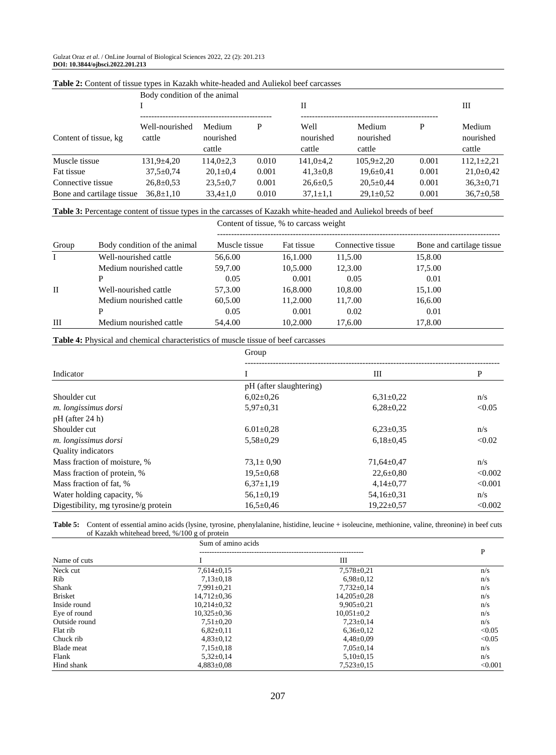|                           | Body condition of the animal<br>Н |                               |       |                             |                               |       |                               |
|---------------------------|-----------------------------------|-------------------------------|-------|-----------------------------|-------------------------------|-------|-------------------------------|
| Content of tissue, kg     | Well-nourished<br>cattle          | Medium<br>nourished<br>cattle | P     | Well<br>nourished<br>cattle | Medium<br>nourished<br>cattle | P     | Medium<br>nourished<br>cattle |
| Muscle tissue             | $131.9 \pm 4.20$                  | $114.0 \pm 2.3$               | 0.010 | $141.0 \pm 4.2$             | $105.9 \pm 2.20$              | 0.001 | $112.1 \pm 2.21$              |
| Fat tissue                | $37.5 \pm 0.74$                   | $20.1 \pm 0.4$                | 0.001 | $41.3 \pm 0.8$              | $19.6 \pm 0.41$               | 0.001 | $21,0\pm0.42$                 |
| Connective tissue         | $26,8 \pm 0.53$                   | $23.5 \pm 0.7$                | 0.001 | $26.6 \pm 0.5$              | $20.5 \pm 0.44$               | 0.001 | $36.3 \pm 0.71$               |
| Bone and cartilage tissue | $36.8 \pm 1.10$                   | $33.4 \pm 1.0$                | 0.010 | $37.1 \pm 1.1$              | $29.1 \pm 0.52$               | 0.001 | $36.7 \pm 0.58$               |

#### **Table 2:** Content of tissue types in Kazakh white-headed and Auliekol beef carcasses

# **Table 3:** Percentage content of tissue types in the carcasses of Kazakh white-headed and Auliekol breeds of beef

| Group        | Body condition of the animal | Muscle tissue | Fat tissue | Connective tissue | Bone and cartilage tissue |
|--------------|------------------------------|---------------|------------|-------------------|---------------------------|
|              | Well-nourished cattle        | 56,6.00       | 16.1.000   | 11.5.00           | 15,8.00                   |
|              | Medium nourished cattle      | 59.7.00       | 10.5.000   | 12,3.00           | 17,5.00                   |
|              | P                            | 0.05          | 0.001      | 0.05              | 0.01                      |
| $\mathbf{I}$ | Well-nourished cattle        | 57,3.00       | 16.8.000   | 10.8.00           | 15,1.00                   |
|              | Medium nourished cattle      | 60.5.00       | 11.2.000   | 11.7.00           | 16,6.00                   |
|              | P                            | 0.05          | 0.001      | 0.02              | 0.01                      |
| Ш            | Medium nourished cattle      | 54.4.00       | 10.2.000   | 17,6,00           | 17.8.00                   |

Content of tissue, % to carcass weight

# **Table 4:** Physical and chemical characteristics of muscle tissue of beef carcasses

|                                      | Group                   |                  |         |  |  |  |  |
|--------------------------------------|-------------------------|------------------|---------|--|--|--|--|
| Indicator                            |                         | Ш                | P       |  |  |  |  |
|                                      | pH (after slaughtering) |                  |         |  |  |  |  |
| Shoulder cut                         | $6,02\pm0,26$           | $6,31\pm0.22$    | n/s     |  |  |  |  |
| m. longissimus dorsi                 | $5.97 \pm 0.31$         | $6,28\pm0.22$    | < 0.05  |  |  |  |  |
| $pH$ (after 24 h)                    |                         |                  |         |  |  |  |  |
| Shoulder cut                         | $6.01 \pm 0.28$         | $6,23\pm0.35$    | n/s     |  |  |  |  |
| m. longissimus dorsi                 | $5.58 \pm 0.29$         | $6,18\pm0.45$    | < 0.02  |  |  |  |  |
| <b>Quality indicators</b>            |                         |                  |         |  |  |  |  |
| Mass fraction of moisture, %         | $73.1 \pm 0.90$         | $71,64 \pm 0.47$ | n/s     |  |  |  |  |
| Mass fraction of protein, %          | $19.5 \pm 0.68$         | $22.6 \pm 0.80$  | < 0.002 |  |  |  |  |
| Mass fraction of fat, %              | $6,37\pm1,19$           | $4,14\pm0.77$    | < 0.001 |  |  |  |  |
| Water holding capacity, %            | $56,1\pm0.19$           | $54,16\pm0.31$   | n/s     |  |  |  |  |
| Digestibility, mg tyrosine/g protein | $16,5 \pm 0,46$         | $19,22 \pm 0.57$ | < 0.002 |  |  |  |  |

| Table 5: | Content of essential amino acids (lysine, tyrosine, phenylalanine, histidine, leucine + isoleucine, methionine, valine, threonine) in beef cuts |  |
|----------|-------------------------------------------------------------------------------------------------------------------------------------------------|--|
|          | of Kazakh whitehead breed, $\frac{6}{100}$ g of protein                                                                                         |  |

|                   | Sum of amino acids |                  |         |
|-------------------|--------------------|------------------|---------|
| Name of cuts      |                    | Ш                | P       |
| Neck cut          | $7,614\pm0.15$     | $7,578 \pm 0.21$ | n/s     |
| Rib               | $7.13 \pm 0.18$    | $6.98 \pm 0.12$  | n/s     |
| Shank             | $7,991 \pm 0.21$   | $7,732 \pm 0.14$ | n/s     |
| <b>Brisket</b>    | $14.712 \pm 0.36$  | $14,205\pm0.28$  | n/s     |
| Inside round      | $10.214 \pm 0.32$  | $9.905 \pm 0.21$ | n/s     |
| Eye of round      | $10,325 \pm 0.36$  | $10.051 \pm 0.2$ | n/s     |
| Outside round     | $7.51 \pm 0.20$    | $7.23 \pm 0.14$  | n/s     |
| Flat rib          | $6,82{\pm}0,11$    | $6,36\pm0.12$    | < 0.05  |
| Chuck rib         | $4,83\pm0,12$      | $4,48 \pm 0.09$  | < 0.05  |
| <b>Blade</b> meat | $7,15\pm0.18$      | $7.05 \pm 0.14$  | n/s     |
| Flank             | $5,32\pm0,14$      | $5,10\pm0.15$    | n/s     |
| Hind shank        | $4.883 \pm 0.08$   | $7,523\pm0.15$   | < 0.001 |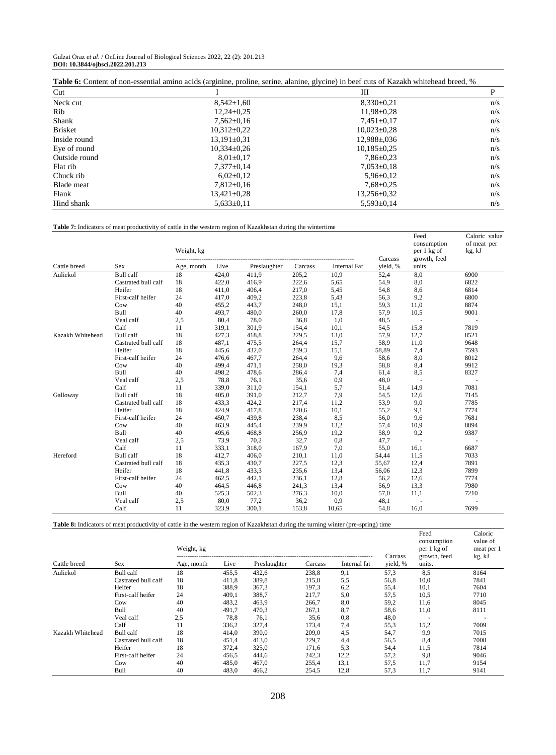| Gulzat Oraz et al. / OnLine Journal of Biological Sciences 2022, 22 (2): 201.213 |  |  |
|----------------------------------------------------------------------------------|--|--|
| DOI: 10.3844/ojbsci.2022.201.213                                                 |  |  |

| <b>Table 6:</b> Content of non-essential amino acids (arginine, proline, serine, alanine, glycine) in beef cuts of Kazakh whitehead breed, % |                   |                    |     |  |  |  |  |
|----------------------------------------------------------------------------------------------------------------------------------------------|-------------------|--------------------|-----|--|--|--|--|
| Cut                                                                                                                                          |                   | Ш                  |     |  |  |  |  |
| Neck cut                                                                                                                                     | $8,542 \pm 1,60$  | $8,330\pm0.21$     | n/s |  |  |  |  |
| <b>Rib</b>                                                                                                                                   | $12.24 \pm 0.25$  | $11,98 \pm 0.28$   | n/s |  |  |  |  |
| Shank                                                                                                                                        | $7,562 \pm 0.16$  | $7,451\pm0.17$     | n/s |  |  |  |  |
| <b>Brisket</b>                                                                                                                               | $10.312 \pm 0.22$ | $10.023 \pm 0.28$  | n/s |  |  |  |  |
| Inside round                                                                                                                                 | $13.191 \pm 0.31$ | $12.988 \pm 0.036$ | n/s |  |  |  |  |
| Eye of round                                                                                                                                 | $10.334 \pm 0.26$ | $10.185 \pm 0.25$  | n/s |  |  |  |  |
| Outside round                                                                                                                                | $8.01 \pm 0.17$   | $7.86 \pm 0.23$    | n/s |  |  |  |  |
| Flat rib                                                                                                                                     | $7,377\pm0,14$    | $7,053\pm0,18$     | n/s |  |  |  |  |
| Chuck rib                                                                                                                                    | $6,02\pm0,12$     | $5,96 \pm 0.12$    | n/s |  |  |  |  |
| Blade meat                                                                                                                                   | $7.812 \pm 0.16$  | $7.68 \pm 0.25$    | n/s |  |  |  |  |
| Flank                                                                                                                                        | 13,421±0,28       | $13,256 \pm 0.32$  | n/s |  |  |  |  |
| Hind shank                                                                                                                                   | $5,633\pm0,11$    | $5,593 \pm 0,14$   | n/s |  |  |  |  |

**Table 7:** Indicators of meat productivity of cattle in the western region of Kazakhstan during the wintertime

|                  |                     | Weight, kg |       |              |         | Feed<br>consumption<br>per 1 kg of | Caloric value<br>of meat per<br>kg, kJ |                        |      |
|------------------|---------------------|------------|-------|--------------|---------|------------------------------------|----------------------------------------|------------------------|------|
| Cattle breed     | <b>Sex</b>          | Age, month | Live  | Preslaughter | Carcass | <b>Internal Fat</b>                | Carcass<br>vield, %                    | growth, feed<br>units. |      |
| Auliekol         | Bull calf           | 18         | 424,0 | 411,9        | 205,2   | 10,9                               | 52,4                                   | 8,0                    | 6900 |
|                  | Castrated bull calf | 18         | 422,0 | 416,9        | 222,6   | 5,65                               | 54,9                                   | 8,0                    | 6822 |
|                  | Heifer              | 18         | 411,0 | 406,4        | 217,0   | 5,45                               | 54,8                                   | 8,6                    | 6814 |
|                  | First-calf heifer   | 24         | 417,0 | 409,2        | 223,8   | 5,43                               | 56,3                                   | 9,2                    | 6800 |
|                  | Cow                 | 40         | 455,2 | 443,7        | 248,0   | 15,1                               | 59.3                                   | 11,0                   | 8874 |
|                  | <b>Bull</b>         | 40         | 493,7 | 480,0        | 260,0   | 17,8                               | 57,9                                   | 10,5                   | 9001 |
|                  | Veal calf           | 2,5        | 80,4  | 78,0         | 36,8    | 1,0                                | 48,5                                   |                        |      |
|                  | Calf                | 11         | 319,1 | 301,9        | 154,4   | 10,1                               | 54,5                                   | 15,8                   | 7819 |
| Kazakh Whitehead | <b>Bull</b> calf    | 18         | 427,3 | 418,8        | 229,5   | 13,0                               | 57,9                                   | 12,7                   | 8521 |
|                  | Castrated bull calf | 18         | 487,1 | 475,5        | 264,4   | 15,7                               | 58,9                                   | 11,0                   | 9648 |
|                  | Heifer              | 18         | 445,6 | 432,0        | 239,3   | 15,1                               | 58,89                                  | 7,4                    | 7593 |
|                  | First-calf heifer   | 24         | 476,6 | 467,7        | 264,4   | 9,6                                | 58,6                                   | 8,0                    | 8012 |
|                  | Cow                 | 40         | 499,4 | 471,1        | 258,0   | 19,3                               | 58,8                                   | 8,4                    | 9912 |
|                  | <b>Bull</b>         | 40         | 498,2 | 478,6        | 286,4   | 7,4                                | 61,4                                   | 8,5                    | 8327 |
|                  | Veal calf           | 2,5        | 78,8  | 76,1         | 35,6    | 0,9                                | 48,0                                   |                        |      |
|                  | Calf                | 11         | 339,0 | 311,0        | 154,1   | 5,7                                | 51,4                                   | 14,9                   | 7081 |
| Galloway         | <b>Bull</b> calf    | 18         | 405,0 | 391,0        | 212,7   | 7,9                                | 54,5                                   | 12,6                   | 7145 |
|                  | Castrated bull calf | 18         | 433,3 | 424,2        | 217,4   | 11,2                               | 53,9                                   | 9,0                    | 7785 |
|                  | Heifer              | 18         | 424,9 | 417,8        | 220,6   | 10,1                               | 55,2                                   | 9,1                    | 7774 |
|                  | First-calf heifer   | 24         | 450,7 | 439,8        | 238,4   | 8,5                                | 56,0                                   | 9,6                    | 7681 |
|                  | Cow                 | 40         | 463,9 | 445,4        | 239,9   | 13,2                               | 57,4                                   | 10,9                   | 8894 |
|                  | Bull                | 40         | 495,6 | 468,8        | 256,9   | 19,2                               | 58,9                                   | 9,2                    | 9387 |
|                  | Veal calf           | 2,5        | 73,9  | 70,2         | 32,7    | 0,8                                | 47,7                                   |                        |      |
|                  | Calf                | 11         | 333,1 | 318,0        | 167,9   | 7,0                                | 55,0                                   | 16,1                   | 6687 |
| Hereford         | Bull calf           | 18         | 412,7 | 406,0        | 210,1   | 11,0                               | 54,44                                  | 11,5                   | 7033 |
|                  | Castrated bull calf | 18         | 435,3 | 430,7        | 227,5   | 12,3                               | 55,67                                  | 12,4                   | 7891 |
|                  | Heifer              | 18         | 441,8 | 433,3        | 235,6   | 13,4                               | 56,06                                  | 12,3                   | 7899 |
|                  | First-calf heifer   | 24         | 462,5 | 442,1        | 236,1   | 12,8                               | 56,2                                   | 12,6                   | 7774 |
|                  | Cow                 | 40         | 464,5 | 446,8        | 241,3   | 13,4                               | 56,9                                   | 13,3                   | 7980 |
|                  | <b>Bull</b>         | 40         | 525,3 | 502,3        | 276,3   | 10,0                               | 57,0                                   | 11,1                   | 7210 |
|                  | Veal calf           | 2,5        | 80,0  | 77,2         | 36,2    | 0,9                                | 48,1                                   |                        |      |
|                  | Calf                | 11         | 323,9 | 300,1        | 153,8   | 10,65                              | 54,8                                   | 16,0                   | 7699 |

**Table 8:** Indicators of meat productivity of cattle in the western region of Kazakhstan during the turning winter (pre-spring) time

|                  | Weight, kg          |            |       |              |         |              | Carcass  | Feed<br>consumption<br>per 1 kg of<br>growth, feed | Caloric<br>value of<br>meat per 1<br>kg, kJ |
|------------------|---------------------|------------|-------|--------------|---------|--------------|----------|----------------------------------------------------|---------------------------------------------|
| Cattle breed     | Sex                 | Age, month | Live  | Preslaughter | Carcass | Internal fat | yield, % | units.                                             |                                             |
| Auliekol         | Bull calf           | 18         | 455,5 | 432,6        | 238,8   | 9,1          | 57,3     | 8,5                                                | 8164                                        |
|                  | Castrated bull calf | 18         | 411,8 | 389,8        | 215,8   | 5,5          | 56,8     | 10,0                                               | 7841                                        |
|                  | Heifer              | 18         | 388,9 | 367,3        | 197,3   | 6,2          | 55,4     | 10,1                                               | 7604                                        |
|                  | First-calf heifer   | 24         | 409,1 | 388,7        | 217,7   | 5,0          | 57,5     | 10,5                                               | 7710                                        |
|                  | Cow                 | 40         | 483,2 | 463,9        | 266,7   | 8,0          | 59,2     | 11,6                                               | 8045                                        |
|                  | Bull                | 40         | 491.7 | 470,3        | 267,1   | 8,7          | 58,6     | 11,0                                               | 8111                                        |
|                  | Veal calf           | 2,5        | 78,8  | 76,1         | 35,6    | 0,8          | 48,0     | ٠                                                  |                                             |
|                  | Calf                | 11         | 336,2 | 327,4        | 173,4   | 7,4          | 55,3     | 15,2                                               | 7009                                        |
| Kazakh Whitehead | Bull calf           | 18         | 414,0 | 390,0        | 209,0   | 4,5          | 54,7     | 9,9                                                | 7015                                        |
|                  | Castrated bull calf | 18         | 451,4 | 413,0        | 229,7   | 4,4          | 56,5     | 8,4                                                | 7008                                        |
|                  | Heifer              | 18         | 372,4 | 325,0        | 171,6   | 5,3          | 54,4     | 11,5                                               | 7814                                        |
|                  | First-calf heifer   | 24         | 456,5 | 444,6        | 242,3   | 12,2         | 57,2     | 9,8                                                | 9046                                        |
|                  | Cow                 | 40         | 485,0 | 467,0        | 255,4   | 13,1         | 57,5     | 11,7                                               | 9154                                        |
|                  | Bull                | 40         | 483,0 | 466,2        | 254,5   | 12,8         | 57,3     | 11,7                                               | 9141                                        |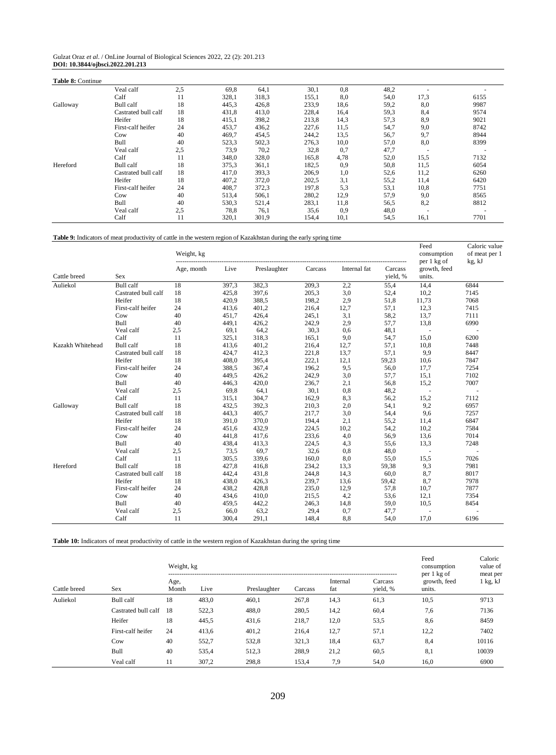| Gulzat Oraz et al. / OnLine Journal of Biological Sciences 2022, 22 (2): 201.213 |  |
|----------------------------------------------------------------------------------|--|
| DOI: 10.3844/ojbsci.2022.201.213                                                 |  |

| <b>Table 8: Continue</b> |                     |     |       |       |       |      |      |      |      |
|--------------------------|---------------------|-----|-------|-------|-------|------|------|------|------|
|                          | Veal calf           | 2.5 | 69,8  | 64,1  | 30,1  | 0,8  | 48,2 |      |      |
|                          | Calf                | 11  | 328,1 | 318,3 | 155,1 | 8,0  | 54,0 | 17,3 | 6155 |
| Galloway                 | Bull calf           | 18  | 445,3 | 426,8 | 233,9 | 18,6 | 59,2 | 8,0  | 9987 |
|                          | Castrated bull calf | 18  | 431,8 | 413,0 | 228,4 | 16,4 | 59,3 | 8,4  | 9574 |
|                          | Heifer              | 18  | 415,1 | 398,2 | 213,8 | 14,3 | 57,3 | 8,9  | 9021 |
|                          | First-calf heifer   | 24  | 453,7 | 436,2 | 227,6 | 11,5 | 54,7 | 9,0  | 8742 |
|                          | Cow                 | 40  | 469,7 | 454,5 | 244,2 | 13,5 | 56,7 | 9,7  | 8944 |
|                          | Bull                | 40  | 523,3 | 502,3 | 276,3 | 10,0 | 57,0 | 8,0  | 8399 |
|                          | Veal calf           | 2.5 | 73,9  | 70,2  | 32,8  | 0,7  | 47,7 |      |      |
|                          | Calf                | 11  | 348,0 | 328,0 | 165,8 | 4,78 | 52,0 | 15,5 | 7132 |
| Hereford                 | Bull calf           | 18  | 375,3 | 361,1 | 182,5 | 0,9  | 50,8 | 11,5 | 6054 |
|                          | Castrated bull calf | 18  | 417,0 | 393,3 | 206,9 | 1,0  | 52,6 | 11,2 | 6260 |
|                          | Heifer              | 18  | 407,2 | 372,0 | 202,5 | 3,1  | 55,2 | 11,4 | 6420 |
|                          | First-calf heifer   | 24  | 408,7 | 372,3 | 197,8 | 5,3  | 53,1 | 10,8 | 7751 |
|                          | Cow                 | 40  | 513,4 | 506,1 | 280,2 | 12,9 | 57,9 | 9,0  | 8565 |
|                          | Bull                | 40  | 530,3 | 521,4 | 283,1 | 11,8 | 56,5 | 8,2  | 8812 |
|                          | Veal calf           | 2.5 | 78,8  | 76,1  | 35,6  | 0,9  | 48,0 |      |      |
|                          | Calf                | 11  | 320,1 | 301,9 | 154,4 | 10,1 | 54,5 | 16,1 | 7701 |

# **Table 9:** Indicators of meat productivity of cattle in the western region of Kazakhstan during the early spring time

|                  |                     | Weight, kg |       |              |         |              |                     | Feed<br>consumption                   | Caloric value<br>of meat per 1 |
|------------------|---------------------|------------|-------|--------------|---------|--------------|---------------------|---------------------------------------|--------------------------------|
| Cattle breed     | <b>Sex</b>          | Age, month | Live  | Preslaughter | Carcass | Internal fat | Carcass<br>yield, % | per 1 kg of<br>growth, feed<br>units. | kg, kJ                         |
| Auliekol         | Bull calf           | 18         | 397,3 | 382,3        | 209,3   | 2,2          | 55,4                | 14,4                                  | 6844                           |
|                  | Castrated bull calf | 18         | 425,8 | 397,6        | 205,3   | 3,0          | 52,4                | 10,2                                  | 7145                           |
|                  | Heifer              | 18         | 420,9 | 388,5        | 198,2   | 2,9          | 51,8                | 11,73                                 | 7068                           |
|                  | First-calf heifer   | 24         | 413,6 | 401,2        | 216,4   | 12,7         | 57,1                | 12,3                                  | 7415                           |
|                  | Cow                 | 40         | 451.7 | 426,4        | 245,1   | 3,1          | 58,2                | 13,7                                  | 7111                           |
|                  | Bull                | 40         | 449,1 | 426,2        | 242,9   | 2,9          | 57,7                | 13,8                                  | 6990                           |
|                  | Veal calf           | 2,5        | 69,1  | 64,2         | 30,3    | 0,6          | 48,1                |                                       |                                |
|                  | Calf                | 11         | 325,1 | 318,3        | 165,1   | 9,0          | 54,7                | 15,0                                  | 6200                           |
| Kazakh Whitehead | <b>Bull</b> calf    | 18         | 413,6 | 401,2        | 216,4   | 12,7         | 57,1                | 10,8                                  | 7448                           |
|                  | Castrated bull calf | 18         | 424,7 | 412,3        | 221,8   | 13,7         | 57,1                | 9,9                                   | 8447                           |
|                  | Heifer              | 18         | 408,0 | 395,4        | 222,1   | 12,1         | 59,23               | 10,6                                  | 7847                           |
|                  | First-calf heifer   | 24         | 388,5 | 367,4        | 196,2   | 9,5          | 56,0                | 17,7                                  | 7254                           |
|                  | Cow                 | 40         | 449,5 | 426,2        | 242,9   | 3,0          | 57,7                | 15,1                                  | 7102                           |
|                  | <b>Bull</b>         | 40         | 446,3 | 420,0        | 236,7   | 2,1          | 56,8                | 15,2                                  | 7007                           |
|                  | Veal calf           | 2,5        | 69,8  | 64,1         | 30,1    | 0,8          | 48,2                | $\sim$                                | $\sim$                         |
|                  | Calf                | 11         | 315,1 | 304,7        | 162,9   | 8,3          | 56,2                | 15,2                                  | 7112                           |
| Galloway         | <b>Bull</b> calf    | 18         | 432,5 | 392,3        | 210,3   | 2,0          | 54,1                | 9,2                                   | 6957                           |
|                  | Castrated bull calf | 18         | 443,3 | 405,7        | 217,7   | 3,0          | 54,4                | 9,6                                   | 7257                           |
|                  | Heifer              | 18         | 391,0 | 370,0        | 194,4   | 2,1          | 55,2                | 11,4                                  | 6847                           |
|                  | First-calf heifer   | 24         | 451,6 | 432,9        | 224,5   | 10,2         | 54,2                | 10,2                                  | 7584                           |
|                  | Cow                 | 40         | 441,8 | 417,6        | 233,6   | 4,0          | 56,9                | 13,6                                  | 7014                           |
|                  | Bull                | 40         | 438,4 | 413,3        | 224,5   | 4,3          | 55,6                | 13,3                                  | 7248                           |
|                  | Veal calf           | 2,5        | 73,5  | 69,7         | 32,6    | 0,8          | 48,0                | $\sim$                                |                                |
|                  | Calf                | 11         | 305,5 | 339,6        | 160,0   | 8,0          | 55,0                | 15,5                                  | 7026                           |
| Hereford         | <b>Bull</b> calf    | 18         | 427,8 | 416,8        | 234,2   | 13,3         | 59,38               | 9,3                                   | 7981                           |
|                  | Castrated bull calf | 18         | 442,4 | 431,8        | 244,8   | 14,3         | 60,0                | 8,7                                   | 8017                           |
|                  | Heifer              | 18         | 438,0 | 426,3        | 239,7   | 13,6         | 59,42               | 8,7                                   | 7978                           |
|                  | First-calf heifer   | 24         | 438,2 | 428,8        | 235,0   | 12,9         | 57,8                | 10,7                                  | 7877                           |
|                  | Cow                 | 40         | 434,6 | 410,0        | 215,5   | 4,2          | 53,6                | 12,1                                  | 7354                           |
|                  | <b>Bull</b>         | 40         | 459,5 | 442,2        | 246,3   | 14,8         | 59,0                | 10,5                                  | 8454                           |
|                  | Veal calf           | 2,5        | 66,0  | 63,2         | 29,4    | 0,7          | 47,7                |                                       |                                |
|                  | Calf                | 11         | 300,4 | 291,1        | 148,4   | 8,8          | 54,0                | 17,0                                  | 6196                           |

**Table 10:** Indicators of meat productivity of cattle in the western region of Kazakhstan during the spring time

|              |                     | Weight, kg    |       | Feed<br>consumption | Caloric<br>value of |                 |                     |                                       |                        |
|--------------|---------------------|---------------|-------|---------------------|---------------------|-----------------|---------------------|---------------------------------------|------------------------|
| Cattle breed | Sex                 | Age,<br>Month | Live  | Preslaughter        | Carcass             | Internal<br>fat | Carcass<br>yield, % | per 1 kg of<br>growth, feed<br>units. | meat per<br>$1$ kg, kJ |
| Auliekol     | Bull calf           | 18            | 483,0 | 460,1               | 267,8               | 14,3            | 61,3                | 10,5                                  | 9713                   |
|              | Castrated bull calf | 18            | 522,3 | 488,0               | 280,5               | 14,2            | 60,4                | 7,6                                   | 7136                   |
|              | Heifer              | 18            | 445,5 | 431,6               | 218,7               | 12,0            | 53,5                | 8,6                                   | 8459                   |
|              | First-calf heifer   | 24            | 413,6 | 401,2               | 216,4               | 12,7            | 57,1                | 12,2                                  | 7402                   |
|              | Cow                 | 40            | 552,7 | 532,8               | 321,3               | 18,4            | 63,7                | 8,4                                   | 10116                  |
|              | Bull                | 40            | 535,4 | 512,3               | 288,9               | 21,2            | 60,5                | 8,1                                   | 10039                  |
|              | Veal calf           | 11            | 307,2 | 298,8               | 153,4               | 7,9             | 54,0                | 16,0                                  | 6900                   |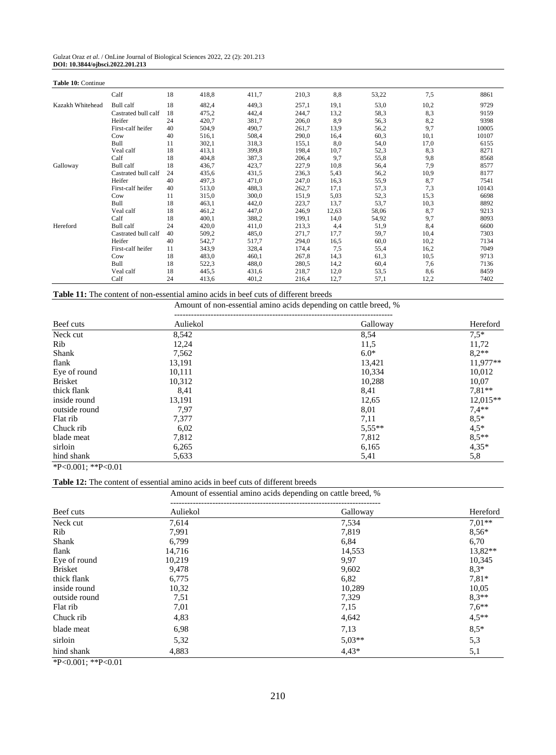| Gulzat Oraz et al. / OnLine Journal of Biological Sciences 2022, 22 (2): 201.213 |  |
|----------------------------------------------------------------------------------|--|
| DOI: 10.3844/ojbsci.2022.201.213                                                 |  |

| Table 10: Continue |                     |    |       |       |       |       |       |      |       |
|--------------------|---------------------|----|-------|-------|-------|-------|-------|------|-------|
|                    | Calf                | 18 | 418,8 | 411,7 | 210,3 | 8,8   | 53,22 | 7,5  | 8861  |
| Kazakh Whitehead   | Bull calf           | 18 | 482,4 | 449,3 | 257,1 | 19,1  | 53,0  | 10,2 | 9729  |
|                    | Castrated bull calf | 18 | 475,2 | 442,4 | 244,7 | 13,2  | 58,3  | 8,3  | 9159  |
|                    | Heifer              | 24 | 420,7 | 381,7 | 206,0 | 8,9   | 56,3  | 8,2  | 9398  |
|                    | First-calf heifer   | 40 | 504,9 | 490,7 | 261,7 | 13,9  | 56,2  | 9,7  | 10005 |
|                    | Cow                 | 40 | 516,1 | 508,4 | 290,0 | 16,4  | 60,3  | 10,1 | 10107 |
|                    | Bull                | 11 | 302,1 | 318,3 | 155,1 | 8,0   | 54,0  | 17,0 | 6155  |
|                    | Veal calf           | 18 | 413,1 | 399,8 | 198,4 | 10,7  | 52,3  | 8,3  | 8271  |
|                    | Calf                | 18 | 404,8 | 387,3 | 206,4 | 9,7   | 55,8  | 9,8  | 8568  |
| Galloway           | Bull calf           | 18 | 436,7 | 423,7 | 227,9 | 10,8  | 56,4  | 7,9  | 8577  |
|                    | Castrated bull calf | 24 | 435,6 | 431,5 | 236,3 | 5,43  | 56,2  | 10,9 | 8177  |
|                    | Heifer              | 40 | 497,3 | 471,0 | 247,0 | 16,3  | 55,9  | 8,7  | 7541  |
|                    | First-calf heifer   | 40 | 513,0 | 488,3 | 262,7 | 17,1  | 57,3  | 7.3  | 10143 |
|                    | Cow                 | 11 | 315,0 | 300,0 | 151,9 | 5,03  | 52,3  | 15,3 | 6698  |
|                    | Bull                | 18 | 463,1 | 442,0 | 223,7 | 13,7  | 53,7  | 10,3 | 8892  |
|                    | Veal calf           | 18 | 461,2 | 447,0 | 246,9 | 12,63 | 58,06 | 8,7  | 9213  |
|                    | Calf                | 18 | 400,1 | 388,2 | 199,1 | 14,0  | 54,92 | 9,7  | 8093  |
| Hereford           | Bull calf           | 24 | 420,0 | 411,0 | 213,3 | 4,4   | 51,9  | 8,4  | 6600  |
|                    | Castrated bull calf | 40 | 509,2 | 485,0 | 271,7 | 17,7  | 59,7  | 10,4 | 7303  |
|                    | Heifer              | 40 | 542,7 | 517,7 | 294,0 | 16,5  | 60,0  | 10,2 | 7134  |
|                    | First-calf heifer   | 11 | 343,9 | 328,4 | 174,4 | 7,5   | 55,4  | 16,2 | 7049  |
|                    | Cow                 | 18 | 483,0 | 460,1 | 267,8 | 14,3  | 61,3  | 10,5 | 9713  |
|                    | Bull                | 18 | 522,3 | 488,0 | 280,5 | 14,2  | 60,4  | 7,6  | 7136  |
|                    | Veal calf           | 18 | 445,5 | 431,6 | 218,7 | 12,0  | 53,5  | 8,6  | 8459  |
|                    | Calf                | 24 | 413,6 | 401,2 | 216,4 | 12,7  | 57,1  | 12,2 | 7402  |

**Table 11:** The content of non-essential amino acids in beef cuts of different breeds

Amount of non-essential amino acids depending on cattle breed, %

| Beef cuts      | Auliekol | Galloway | Hereford   |
|----------------|----------|----------|------------|
| Neck cut       | 8,542    | 8,54     | $7,5*$     |
| Rib            | 12,24    | 11,5     | 11,72      |
| Shank          | 7,562    | $6.0*$   | $8.2**$    |
| flank          | 13,191   | 13,421   | $11,977**$ |
| Eye of round   | 10,111   | 10,334   | 10,012     |
| <b>Brisket</b> | 10,312   | 10,288   | 10.07      |
| thick flank    | 8,41     | 8,41     | $7.81**$   |
| inside round   | 13,191   | 12,65    | $12,015**$ |
| outside round  | 7,97     | 8,01     | $7,4**$    |
| Flat rib       | 7,377    | 7,11     | $8,5*$     |
| Chuck rib      | 6,02     | $5,55**$ | $4,5*$     |
| blade meat     | 7,812    | 7,812    | $8,5**$    |
| sirloin        | 6,265    | 6,165    | $4,35*$    |
| hind shank     | 5,633    | 5,41     | 5,8        |

\*P<0.001; \*\*P<0.01

**Table 12:** The content of essential amino acids in beef cuts of different breeds

Amount of essential amino acids depending on cattle breed, %

| Beef cuts      | Auliekol | Galloway | Hereford  |
|----------------|----------|----------|-----------|
| Neck cut       | 7,614    | 7,534    | $7.01**$  |
| Rib            | 7,991    | 7,819    | $8,56*$   |
| Shank          | 6,799    | 6,84     | 6,70      |
| flank          | 14,716   | 14,553   | $13,82**$ |
| Eye of round   | 10,219   | 9,97     | 10,345    |
| <b>Brisket</b> | 9,478    | 9,602    | $8.3*$    |
| thick flank    | 6,775    | 6,82     | $7,81*$   |
| inside round   | 10,32    | 10,289   | 10,05     |
| outside round  | 7,51     | 7,329    | $8.3**$   |
| Flat rib       | 7,01     | 7,15     | $7.6**$   |
| Chuck rib      | 4,83     | 4,642    | $4,5**$   |
| blade meat     | 6,98     | 7,13     | $8,5*$    |
| sirloin        | 5,32     | $5.03**$ | 5,3       |
| hind shank     | 4,883    | $4.43*$  | 5,1       |

\*P<0.001; \*\*P<0.01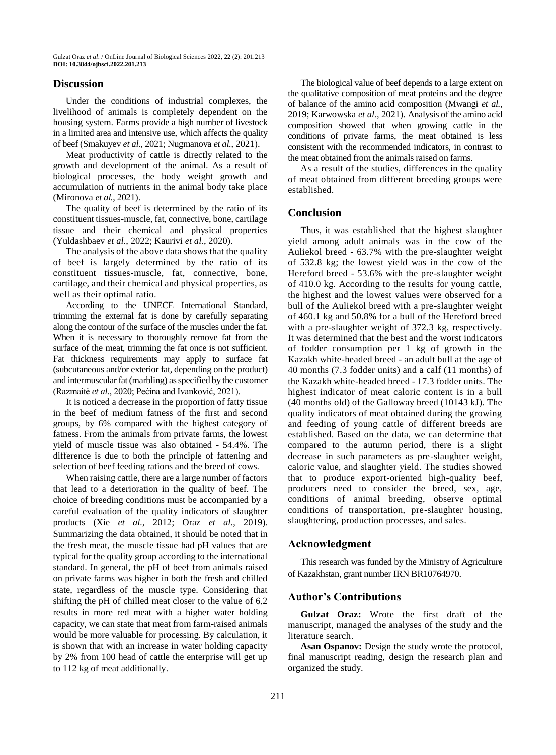# **Discussion**

Under the conditions of industrial complexes, the livelihood of animals is completely dependent on the housing system. Farms provide a high number of livestock in a limited area and intensive use, which affects the quality of beef (Smakuyev *et al.*, 2021; Nugmanova *et al.*, 2021).

Meat productivity of cattle is directly related to the growth and development of the animal. As a result of biological processes, the body weight growth and accumulation of nutrients in the animal body take place (Mironova *et al.*, 2021).

The quality of beef is determined by the ratio of its constituent tissues-muscle, fat, connective, bone, cartilage tissue and their chemical and physical properties (Yuldashbaev *et al.*, 2022; Kaurivi *et al.*, 2020).

The analysis of the above data shows that the quality of beef is largely determined by the ratio of its constituent tissues-muscle, fat, connective, bone, cartilage, and their chemical and physical properties, as well as their optimal ratio.

According to the UNECE International Standard, trimming the external fat is done by carefully separating along the contour of the surface of the muscles under the fat. When it is necessary to thoroughly remove fat from the surface of the meat, trimming the fat once is not sufficient. Fat thickness requirements may apply to surface fat (subcutaneous and/or exterior fat, depending on the product) and intermuscular fat (marbling) as specified by the customer (Razmaitė *et al.*, 2020; Pećina and Ivanković, 2021).

It is noticed a decrease in the proportion of fatty tissue in the beef of medium fatness of the first and second groups, by 6% compared with the highest category of fatness. From the animals from private farms, the lowest yield of muscle tissue was also obtained - 54.4%. The difference is due to both the principle of fattening and selection of beef feeding rations and the breed of cows.

When raising cattle, there are a large number of factors that lead to a deterioration in the quality of beef. The choice of breeding conditions must be accompanied by a careful evaluation of the quality indicators of slaughter products (Xie *et al.*, 2012; Oraz *et al.*, 2019). Summarizing the data obtained, it should be noted that in the fresh meat, the muscle tissue had pH values that are typical for the quality group according to the international standard. In general, the pH of beef from animals raised on private farms was higher in both the fresh and chilled state, regardless of the muscle type. Considering that shifting the pH of chilled meat closer to the value of 6.2 results in more red meat with a higher water holding capacity, we can state that meat from farm-raised animals would be more valuable for processing. By calculation, it is shown that with an increase in water holding capacity by 2% from 100 head of cattle the enterprise will get up to 112 kg of meat additionally.

The biological value of beef depends to a large extent on the qualitative composition of meat proteins and the degree of balance of the amino acid composition (Mwangi *et al.*, 2019; Karwowska *et al.*, 2021). Analysis of the amino acid composition showed that when growing cattle in the conditions of private farms, the meat obtained is less consistent with the recommended indicators, in contrast to the meat obtained from the animals raised on farms.

As a result of the studies, differences in the quality of meat obtained from different breeding groups were established.

# **Conclusion**

Thus, it was established that the highest slaughter yield among adult animals was in the cow of the Auliekol breed - 63.7% with the pre-slaughter weight of 532.8 kg; the lowest yield was in the cow of the Hereford breed - 53.6% with the pre-slaughter weight of 410.0 kg. According to the results for young cattle, the highest and the lowest values were observed for a bull of the Auliekol breed with a pre-slaughter weight of 460.1 kg and 50.8% for a bull of the Hereford breed with a pre-slaughter weight of 372.3 kg, respectively. It was determined that the best and the worst indicators of fodder consumption per 1 kg of growth in the Kazakh white-headed breed - an adult bull at the age of 40 months (7.3 fodder units) and a calf (11 months) of the Kazakh white-headed breed - 17.3 fodder units. The highest indicator of meat caloric content is in a bull (40 months old) of the Galloway breed (10143 kJ). The quality indicators of meat obtained during the growing and feeding of young cattle of different breeds are established. Based on the data, we can determine that compared to the autumn period, there is a slight decrease in such parameters as pre-slaughter weight, caloric value, and slaughter yield. The studies showed that to produce export-oriented high-quality beef, producers need to consider the breed, sex, age, conditions of animal breeding, observe optimal conditions of transportation, pre-slaughter housing, slaughtering, production processes, and sales.

# **Acknowledgment**

This research was funded by the Ministry of Agriculture of Kazakhstan, grant number IRN BR10764970.

## **Author's Contributions**

**Gulzat Oraz:** Wrote the first draft of the manuscript, managed the analyses of the study and the literature search.

**Asan Ospanov:** Design the study wrote the protocol, final manuscript reading, design the research plan and organized the study.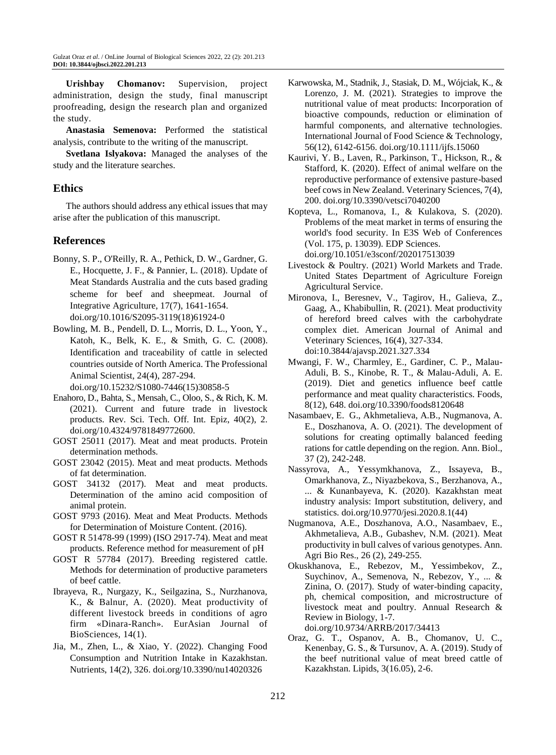**Urishbay Chomanov:** Supervision, project administration, design the study, final manuscript proofreading, design the research plan and organized the study.

**Anastasia Semenova:** Performed the statistical analysis, contribute to the writing of the manuscript.

**Svetlana Islyakova:** Managed the analyses of the study and the literature searches.

# **Ethics**

The authors should address any ethical issues that may arise after the publication of this manuscript.

# **References**

- Bonny, S. P., O'Reilly, R. A., Pethick, D. W., Gardner, G. E., Hocquette, J. F., & Pannier, L. (2018). Update of Meat Standards Australia and the cuts based grading scheme for beef and sheepmeat. Journal of Integrative Agriculture, 17(7), 1641-1654. doi.org/10.1016/S2095-3119(18)61924-0
- Bowling, M. B., Pendell, D. L., Morris, D. L., Yoon, Y., Katoh, K., Belk, K. E., & Smith, G. C. (2008). Identification and traceability of cattle in selected countries outside of North America. The Professional Animal Scientist, 24(4), 287-294.

doi.org/10.15232/S1080-7446(15)30858-5

- Enahoro, D., Bahta, S., Mensah, C., Oloo, S., & Rich, K. M. (2021). Current and future trade in livestock products. Rev. Sci. Tech. Off. Int. Epiz, 40(2), 2. doi.org/10.4324/9781849772600.
- GOST 25011 (2017). Meat and meat products. Protein determination methods.
- GOST 23042 (2015). Meat and meat products. Methods of fat determination.
- GOST 34132 (2017). Meat and meat products. Determination of the amino acid composition of animal protein.
- GOST 9793 (2016). Meat and Meat Products. Methods for Determination of Moisture Content. (2016).
- GOST R 51478-99 (1999) (ISO 2917-74). Meat and meat products. Reference method for measurement of pH
- GOST R 57784 (2017). Breeding registered cattle. Methods for determination of productive parameters of beef cattle.
- Ibrayeva, R., Nurgazy, K., Seilgazina, S., Nurzhanova, K., & Balnur, A. (2020). Meat productivity of different livestock breeds in conditions of agro firm «Dinara-Ranch». EurAsian Journal of BioSciences, 14(1).
- Jia, M., Zhen, L., & Xiao, Y. (2022). Changing Food Consumption and Nutrition Intake in Kazakhstan. Nutrients, 14(2), 326. [doi.org/10.3390/nu14020326](https://doi.org/10.3390/nu14020326)
- Karwowska, M., Stadnik, J., Stasiak, D. M., Wójciak, K., & Lorenzo, J. M. (2021). Strategies to improve the nutritional value of meat products: Incorporation of bioactive compounds, reduction or elimination of harmful components, and alternative technologies. International Journal of Food Science & Technology, 56(12), 6142-6156. doi.org/10.1111/ijfs.15060
- Kaurivi, Y. B., Laven, R., Parkinson, T., Hickson, R., & Stafford, K. (2020). Effect of animal welfare on the reproductive performance of extensive pasture-based beef cows in New Zealand. Veterinary Sciences, 7(4), 200. [doi.org/10.3390/vetsci7040200](https://doi.org/10.3390/vetsci7040200)

Kopteva, L., Romanova, I., & Kulakova, S. (2020). Problems of the meat market in terms of ensuring the world's food security. In E3S Web of Conferences (Vol. 175, p. 13039). EDP Sciences. doi.org/10.1051/e3sconf/202017513039

- Livestock & Poultry. (2021) World Markets and Trade. United States Department of Agriculture Foreign Agricultural Service.
- Mironova, I., Beresnev, V., Tagirov, H., Galieva, Z., Gaag, A., Khabibullin, R. (2021). Meat productivity of hereford breed calves with the carbohydrate complex diet. American Journal of Animal and Veterinary Sciences, 16(4), 327-334. doi:10.3844/ajavsp.2021.327.334
- Mwangi, F. W., Charmley, E., Gardiner, C. P., Malau-Aduli, B. S., Kinobe, R. T., & Malau-Aduli, A. E. (2019). Diet and genetics influence beef cattle performance and meat quality characteristics. Foods, 8(12), 648. doi.org/10.3390/foods8120648
- Nasambaev, E. G., Akhmetalieva, A.B., Nugmanova, A. E., Doszhanova, A. O. (2021). The development of solutions for creating optimally balanced feeding rations for cattle depending on the region. Ann. Biol., 37 (2), 242-248.
- Nassyrova, A., Yessymkhanova, Z., Issayeva, B., Omarkhanova, Z., Niyazbekova, S., Berzhanova, A., ... & Kunanbayeva, K. (2020). Kazakhstan meat industry analysis: Import substitution, delivery, and statistics[. doi.org/10.9770/jesi.2020.8.1\(44\)](http://doi.org/10.9770/jesi.2020.8.1(44))
- Nugmanova, A.E., Doszhanova, A.O., Nasambaev, E., Akhmetalieva, A.B., Gubashev, N.M. (2021). Meat productivity in bull calves of various genotypes. Ann. Agri Bio Res., 26 (2), 249-255.
- Okuskhanova, E., Rebezov, M., Yessimbekov, Z., Suychinov, A., Semenova, N., Rebezov, Y., ... & Zinina, O. (2017). Study of water-binding capacity, ph, chemical composition, and microstructure of livestock meat and poultry. Annual Research & Review in Biology, 1-7. doi.org/10.9734/ARRB/2017/34413
- Oraz, G. T., Ospanov, A. B., Chomanov, U. C., Kenenbay, G. S., & Tursunov, A. A. (2019). Study of the beef nutritional value of meat breed cattle of Kazakhstan. Lipids, 3(16.05), 2-6.